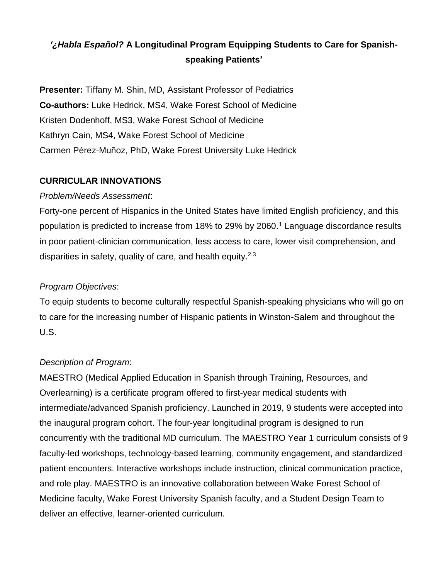# *'¿Habla Español?* **A Longitudinal Program Equipping Students to Care for Spanishspeaking Patients'**

**Presenter:** Tiffany M. Shin, MD, Assistant Professor of Pediatrics **Co-authors:** Luke Hedrick, MS4, Wake Forest School of Medicine Kristen Dodenhoff, MS3, Wake Forest School of Medicine Kathryn Cain, MS4, Wake Forest School of Medicine Carmen Pérez-Muñoz, PhD, Wake Forest University Luke Hedrick

# **CURRICULAR INNOVATIONS**

### *Problem/Needs Assessment*:

Forty-one percent of Hispanics in the United States have limited English proficiency, and this population is predicted to increase from 18% to 29% by 2060.<sup>1</sup> Language discordance results in poor patient-clinician communication, less access to care, lower visit comprehension, and disparities in safety, quality of care, and health equity.<sup>2,3</sup>

## *Program Objectives*:

To equip students to become culturally respectful Spanish-speaking physicians who will go on to care for the increasing number of Hispanic patients in Winston-Salem and throughout the U.S.

### *Description of Program*:

MAESTRO (Medical Applied Education in Spanish through Training, Resources, and Overlearning) is a certificate program offered to first-year medical students with intermediate/advanced Spanish proficiency. Launched in 2019, 9 students were accepted into the inaugural program cohort. The four-year longitudinal program is designed to run concurrently with the traditional MD curriculum. The MAESTRO Year 1 curriculum consists of 9 faculty-led workshops, technology-based learning, community engagement, and standardized patient encounters. Interactive workshops include instruction, clinical communication practice, and role play. MAESTRO is an innovative collaboration between Wake Forest School of Medicine faculty, Wake Forest University Spanish faculty, and a Student Design Team to deliver an effective, learner-oriented curriculum.